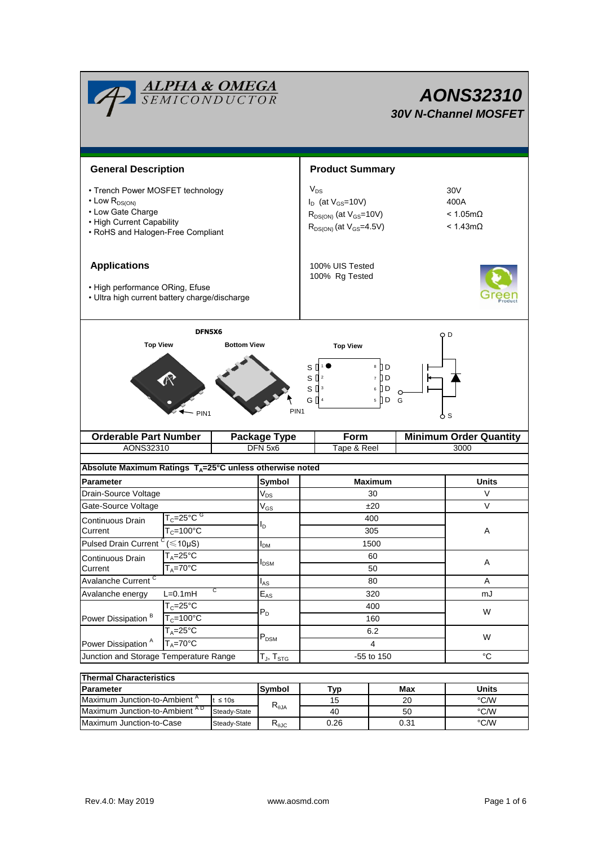| <b>ALPHA &amp; OMEGA</b><br>SEMICONDUCTOR                                                                                                                               |                                                        |                                                                                                             |                        | <b>AONS32310</b><br><b>30V N-Channel MOSFET</b> |                                                               |                               |  |  |
|-------------------------------------------------------------------------------------------------------------------------------------------------------------------------|--------------------------------------------------------|-------------------------------------------------------------------------------------------------------------|------------------------|-------------------------------------------------|---------------------------------------------------------------|-------------------------------|--|--|
|                                                                                                                                                                         |                                                        |                                                                                                             |                        |                                                 |                                                               |                               |  |  |
| <b>General Description</b>                                                                                                                                              |                                                        |                                                                                                             | <b>Product Summary</b> |                                                 |                                                               |                               |  |  |
| • Trench Power MOSFET technology<br>$\cdot$ Low $R_{DS(ON)}$<br>• Low Gate Charge<br>• High Current Capability<br>• RoHS and Halogen-Free Compliant                     |                                                        | $V_{DS}$<br>$I_D$ (at $V_{GS}$ =10V)<br>$R_{DS(ON)}$ (at $V_{GS}$ =10V)<br>$R_{DS(ON)}$ (at $V_{GS}$ =4.5V) |                        |                                                 | 30V<br>400A<br>$< 1.05 \text{m}\Omega$<br>$< 1.43$ m $\Omega$ |                               |  |  |
| <b>Applications</b><br>• High performance ORing, Efuse<br>• Ultra high current battery charge/discharge                                                                 |                                                        | 100% UIS Tested<br>100% Rg Tested                                                                           |                        |                                                 |                                                               |                               |  |  |
| DFN5X6                                                                                                                                                                  |                                                        |                                                                                                             |                        |                                                 |                                                               | ОD                            |  |  |
| <b>Top View</b><br>8 D<br>S<br>S<br>l d<br>$\vert$ 2<br>$\overline{7}$<br>ם ן<br>$S^{3}$<br>6<br>G ∏ 4<br>$5 \n  D$<br>G<br>PIN <sub>1</sub><br>PIN <sub>1</sub><br>ტ s |                                                        |                                                                                                             |                        |                                                 |                                                               |                               |  |  |
|                                                                                                                                                                         | <b>Orderable Part Number</b><br><b>Package Type</b>    |                                                                                                             |                        | Form                                            |                                                               | <b>Minimum Order Quantity</b> |  |  |
| AONS32310                                                                                                                                                               |                                                        | DFN 5x6                                                                                                     |                        | Tape & Reel                                     |                                                               | 3000                          |  |  |
|                                                                                                                                                                         |                                                        | Absolute Maximum Ratings T <sub>A</sub> =25°C unless otherwise noted                                        |                        |                                                 |                                                               |                               |  |  |
| Parameter                                                                                                                                                               |                                                        | Symbol                                                                                                      | <b>Maximum</b>         |                                                 |                                                               | Units                         |  |  |
| Drain-Source Voltage                                                                                                                                                    |                                                        | $V_{DS}$                                                                                                    | 30                     |                                                 | V                                                             |                               |  |  |
| Gate-Source Voltage                                                                                                                                                     |                                                        | $V_{GS}$                                                                                                    | ±20                    |                                                 | $\vee$                                                        |                               |  |  |
| Continuous Drain                                                                                                                                                        | $T_c = 25^{\circ}$ C $G$                               | םי                                                                                                          |                        | 400                                             |                                                               | Α                             |  |  |
| Current                                                                                                                                                                 | $T_c = 100^{\circ}C$                                   | I <sub>DМ</sub>                                                                                             |                        | 305                                             |                                                               |                               |  |  |
|                                                                                                                                                                         | $(\leq 10 \mu S)$<br>Pulsed Drain Current <sup>c</sup> |                                                                                                             | 1500                   |                                                 |                                                               |                               |  |  |
| $T_A = 25^\circ C$<br>Continuous Drain<br>$T_A = 70^\circ C$<br>Current                                                                                                 |                                                        | I <sub>DSM</sub>                                                                                            |                        | 60                                              |                                                               | Α                             |  |  |
|                                                                                                                                                                         |                                                        |                                                                                                             |                        | 50                                              | Α                                                             |                               |  |  |
| Avalanche Current <sup>C</sup><br>С<br>$L=0.1mH$<br>Avalanche energy                                                                                                    |                                                        | $I_{AS}$<br>$E_{AS}$                                                                                        |                        | 80<br>320                                       |                                                               | mJ                            |  |  |
|                                                                                                                                                                         | $T_c = 25$ °C                                          |                                                                                                             |                        | 400<br>160<br>6.2                               |                                                               | W                             |  |  |
| Power Dissipation <sup>B</sup>                                                                                                                                          | $T_c = 100^{\circ}C$                                   | $P_D$                                                                                                       |                        |                                                 |                                                               |                               |  |  |
|                                                                                                                                                                         | $T_A = 25$ °C                                          |                                                                                                             |                        |                                                 |                                                               |                               |  |  |
| $T_A = 70$ °C<br>Power Dissipation <sup>A</sup>                                                                                                                         |                                                        | $P_{DSM}$                                                                                                   | 4                      |                                                 |                                                               | W                             |  |  |
| Junction and Storage Temperature Range                                                                                                                                  |                                                        | $T_{\sf J}$ , $T_{\sf STG}$                                                                                 | -55 to 150             |                                                 |                                                               | $^{\circ}C$                   |  |  |
| <b>Thermal Characteristics</b>                                                                                                                                          |                                                        |                                                                                                             |                        |                                                 |                                                               |                               |  |  |

| <b>Thermal Characteristics</b>            |              |                                           |      |       |      |  |  |
|-------------------------------------------|--------------|-------------------------------------------|------|-------|------|--|--|
| <b>IParameter</b>                         | Symbol       | Typ                                       | Max  | Units |      |  |  |
| Maximum Junction-to-Ambient <sup>"</sup>  | $t \leq 10s$ | $R_{\theta$ JA                            | 15   | 20    | °C/W |  |  |
| Maximum Junction-to-Ambient <sup>AD</sup> | Steady-State |                                           | 40   | 50    | °C/W |  |  |
| Maximum Junction-to-Case                  | Steady-State | $\mathsf{R}_{\theta\mathsf{J}\mathsf{C}}$ | 0.26 | 0.31  | °C/W |  |  |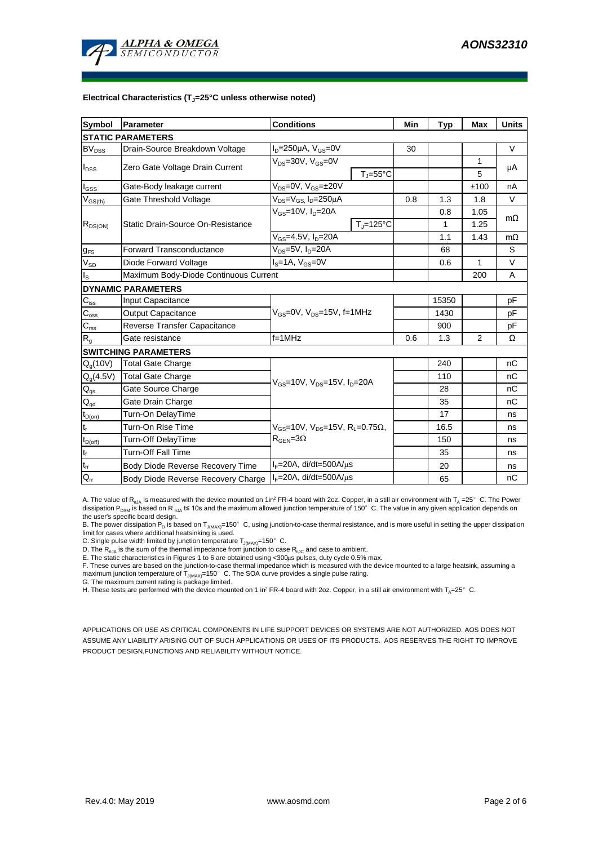

#### **Electrical Characteristics (TJ=25°C unless otherwise noted)**

| <b>Symbol</b>                          | Parameter                             | <b>Conditions</b>                                             |                                | Min  | <b>Typ</b> | Max       | <b>Units</b> |  |  |  |
|----------------------------------------|---------------------------------------|---------------------------------------------------------------|--------------------------------|------|------------|-----------|--------------|--|--|--|
| <b>STATIC PARAMETERS</b>               |                                       |                                                               |                                |      |            |           |              |  |  |  |
| $BV_{DSS}$                             | Drain-Source Breakdown Voltage        | $I_D = 250 \mu A$ , $V_{GS} = 0V$                             |                                | 30   |            |           | $\vee$       |  |  |  |
| $I_{DSS}$                              | Zero Gate Voltage Drain Current       | $V_{DS}$ =30V, $V_{GS}$ =0V                                   |                                |      |            | 1         | μA           |  |  |  |
|                                        |                                       |                                                               | $T_{\rm J}$ =55°C              |      |            | 5         |              |  |  |  |
| $I_{GSS}$                              | Gate-Body leakage current             | $V_{DS} = 0V$ , $V_{GS} = \pm 20V$                            |                                |      |            | ±100      | nA           |  |  |  |
| $V_{GS(th)}$                           | Gate Threshold Voltage                | $V_{DS} = V_{GS}$ , $I_D = 250 \mu A$                         |                                | 0.8  | 1.3        | 1.8       | V            |  |  |  |
|                                        |                                       | $V_{GS}$ =10V, $I_{D}$ =20A                                   |                                |      | 0.8        | 1.05      | $m\Omega$    |  |  |  |
| $R_{DS(ON)}$                           | Static Drain-Source On-Resistance     |                                                               | $T_{\parallel} = 125^{\circ}C$ |      | 1          | 1.25      |              |  |  |  |
|                                        |                                       | $V_{GS} = 4.5V, I_D = 20A$                                    |                                | 1.1  | 1.43       | $m\Omega$ |              |  |  |  |
| $g_{FS}$                               | Forward Transconductance              | $V_{DS} = 5V$ , $I_D = 20A$                                   |                                | 68   |            | S         |              |  |  |  |
| $V_{SD}$                               | Diode Forward Voltage                 | $IS=1A, VGS=0V$                                               |                                |      | 0.6        | 1         | V            |  |  |  |
| $I_{\rm S}$                            | Maximum Body-Diode Continuous Current |                                                               |                                |      | 200        | A         |              |  |  |  |
|                                        | <b>DYNAMIC PARAMETERS</b>             |                                                               |                                |      |            |           |              |  |  |  |
| $C_{\text{iss}}$                       | <b>Input Capacitance</b>              |                                                               |                                |      | 15350      |           | pF           |  |  |  |
| $C_{\rm oss}$                          | <b>Output Capacitance</b>             | $V_{GS}$ =0V, $V_{DS}$ =15V, f=1MHz                           |                                | 1430 |            | рF        |              |  |  |  |
| $\mathbf{C}_{\text{rss}}$              | Reverse Transfer Capacitance          |                                                               |                                | 900  |            | рF        |              |  |  |  |
| $R_{g}$                                | Gate resistance                       | $f = 1$ MHz                                                   | 0.6                            | 1.3  | 2          | Ω         |              |  |  |  |
|                                        | <b>SWITCHING PARAMETERS</b>           |                                                               |                                |      |            |           |              |  |  |  |
| $Q_g(10V)$                             | <b>Total Gate Charge</b>              | $V_{GS}$ =10V, $V_{DS}$ =15V, $I_{D}$ =20A                    |                                |      | 240        |           | nC           |  |  |  |
| $Q_g(4.5V)$                            | <b>Total Gate Charge</b>              |                                                               |                                |      | 110        |           | nC           |  |  |  |
| $\mathsf{Q}_{\text{gs}}$               | Gate Source Charge                    |                                                               |                                |      | 28         |           | nC           |  |  |  |
| $\mathsf{Q}_{\underline{\mathsf{gd}}}$ | Gate Drain Charge                     |                                                               |                                | 35   |            | nC        |              |  |  |  |
| $t_{D(on)}$                            | Turn-On DelayTime                     | $V_{GS}$ =10V, $V_{DS}$ =15V, R <sub>1</sub> =0.75 $\Omega$ , |                                |      | 17         |           | ns           |  |  |  |
| $t_r$                                  | Turn-On Rise Time                     |                                                               |                                |      | 16.5       |           | ns           |  |  |  |
| $t_{D(off)}$                           | Turn-Off DelayTime                    | $R_{\text{GEN}} = 3\Omega$                                    |                                | 150  |            | ns        |              |  |  |  |
| $t_f$                                  | <b>Turn-Off Fall Time</b>             |                                                               |                                |      | 35         |           | ns           |  |  |  |
| $\mathfrak{t}_{\text{rr}}$             | Body Diode Reverse Recovery Time      | $I_F = 20A$ , di/dt=500A/ $\mu$ s                             |                                | 20   |            | ns        |              |  |  |  |
| $Q_{rr}$                               | Body Diode Reverse Recovery Charge    | $I_F = 20A$ , di/dt=500A/ $\mu$ s                             |                                | 65   |            | nC        |              |  |  |  |

A. The value of  $R_{qJA}$  is measured with the device mounted on 1in<sup>2</sup> FR-4 board with 2oz. Copper, in a still air environment with T<sub>A</sub> =25°C. The Power dissipation P<sub>DSM</sub> is based on R <sub>0JA</sub> t≤ 10s and the maximum allowed junction temperature of 150°C. The value in any given application depends on the user's specific board design.

B. The power dissipation P<sub>D</sub> is based on T<sub>J(MAX)</sub>=150°C, using junction-to-case thermal resistance, and is more useful in setting the upper dissipation<br>limit for cases where additional heatsinking is used.

C. Single pulse width limited by junction temperature  $T_{J(MAX)}$ =150°C.

D. The  $R_{qJA}$  is the sum of the thermal impedance from junction to case  $R_{qJC}$  and case to ambient.

E. The static characteristics in Figures 1 to 6 are obtained using <300us pulses, duty cycle 0.5% max.

F. These curves are based on the junction-to-case thermal impedance which is measured with the device mounted to a large heatsink, assuming a maximum junction temperature of  $T_{J(MAX)}=150^{\circ}$  C. The SOA curve provides a single pulse rating.

G. The maximum current rating is package limited.

H. These tests are performed with the device mounted on 1 in<sup>2</sup> FR-4 board with 2oz. Copper, in a still air environment with  $T_a=25^\circ$  C.

APPLICATIONS OR USE AS CRITICAL COMPONENTS IN LIFE SUPPORT DEVICES OR SYSTEMS ARE NOT AUTHORIZED. AOS DOES NOT ASSUME ANY LIABILITY ARISING OUT OF SUCH APPLICATIONS OR USES OF ITS PRODUCTS. AOS RESERVES THE RIGHT TO IMPROVE PRODUCT DESIGN,FUNCTIONS AND RELIABILITY WITHOUT NOTICE.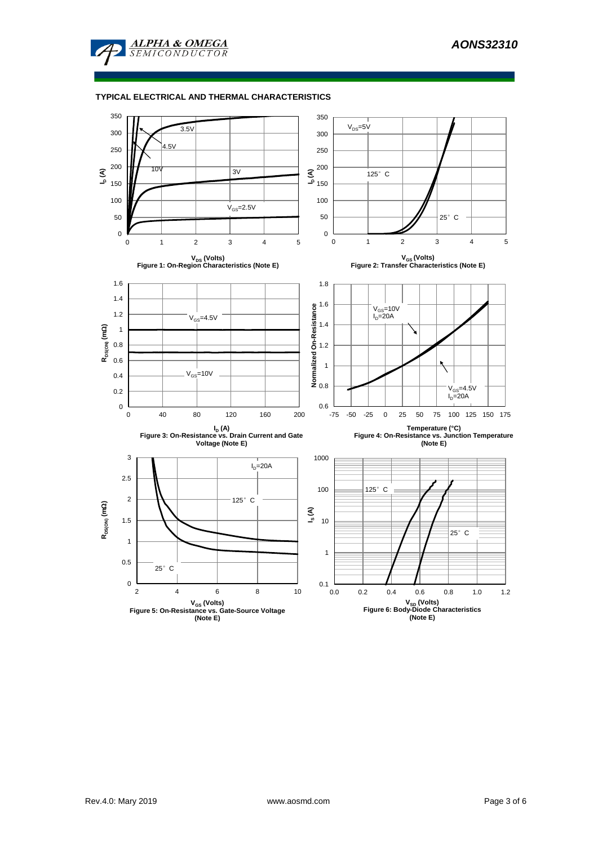

#### **TYPICAL ELECTRICAL AND THERMAL CHARACTERISTICS**

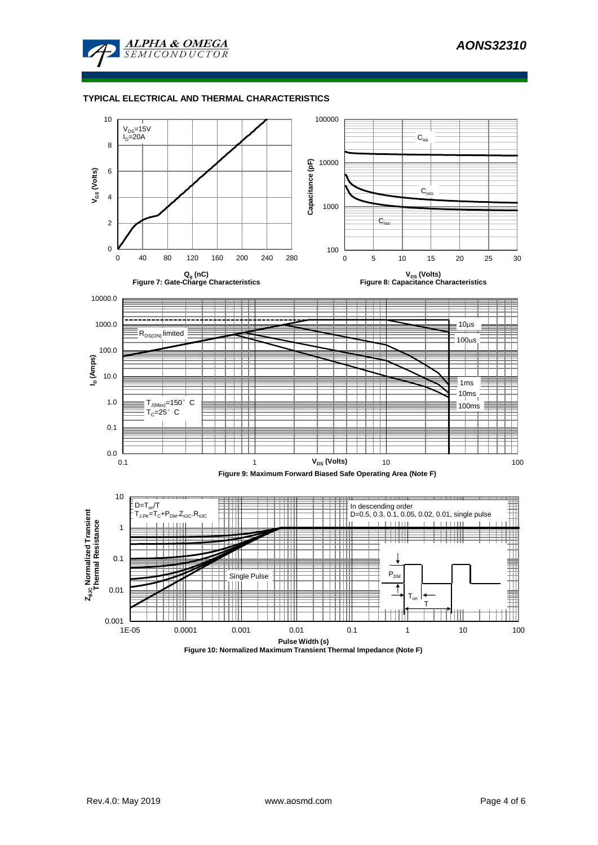

#### **TYPICAL ELECTRICAL AND THERMAL CHARACTERISTICS**

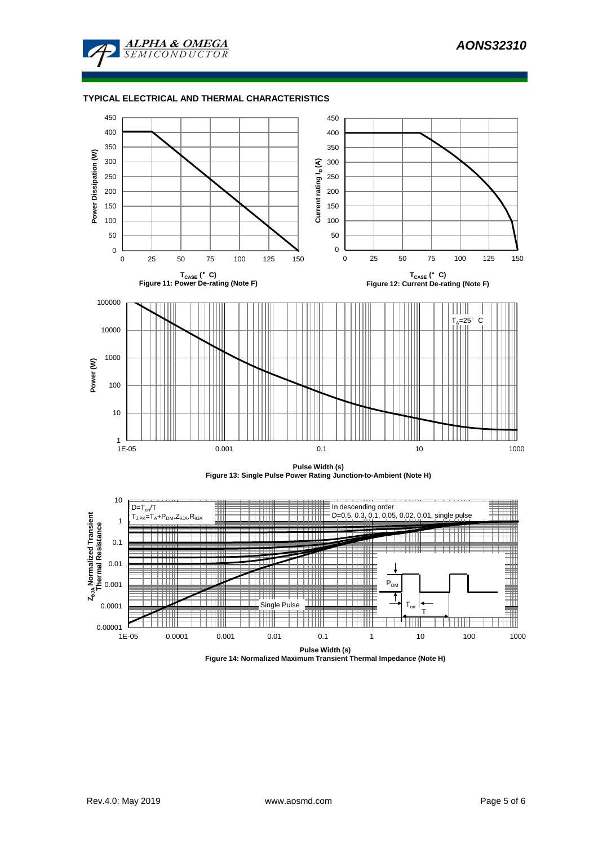

### **TYPICAL ELECTRICAL AND THERMAL CHARACTERISTICS**



**Pulse Width (s) Figure 14: Normalized Maximum Transient Thermal Impedance (Note H)**